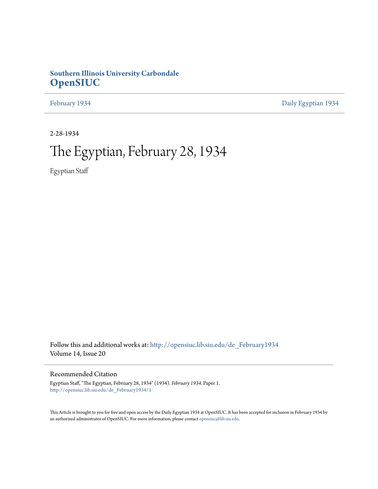## **Southern Illinois University Carbondale [OpenSIUC](http://opensiuc.lib.siu.edu?utm_source=opensiuc.lib.siu.edu%2Fde_February1934%2F1&utm_medium=PDF&utm_campaign=PDFCoverPages)**

[February 1934](http://opensiuc.lib.siu.edu/de_February1934?utm_source=opensiuc.lib.siu.edu%2Fde_February1934%2F1&utm_medium=PDF&utm_campaign=PDFCoverPages) [Daily Egyptian 1934](http://opensiuc.lib.siu.edu/de_1934?utm_source=opensiuc.lib.siu.edu%2Fde_February1934%2F1&utm_medium=PDF&utm_campaign=PDFCoverPages)

2-28-1934

# The Egyptian, February 28, 1934

Egyptian Staff

Follow this and additional works at: [http://opensiuc.lib.siu.edu/de\\_February1934](http://opensiuc.lib.siu.edu/de_February1934?utm_source=opensiuc.lib.siu.edu%2Fde_February1934%2F1&utm_medium=PDF&utm_campaign=PDFCoverPages) Volume 14, Issue 20

#### Recommended Citation

Egyptian Staff, "The Egyptian, February 28, 1934" (1934). *February 1934.* Paper 1. [http://opensiuc.lib.siu.edu/de\\_February1934/1](http://opensiuc.lib.siu.edu/de_February1934/1?utm_source=opensiuc.lib.siu.edu%2Fde_February1934%2F1&utm_medium=PDF&utm_campaign=PDFCoverPages)

This Article is brought to you for free and open access by the Daily Egyptian 1934 at OpenSIUC. It has been accepted for inclusion in February 1934 by an authorized administrator of OpenSIUC. For more information, please contact [opensiuc@lib.siu.edu.](mailto:opensiuc@lib.siu.edu)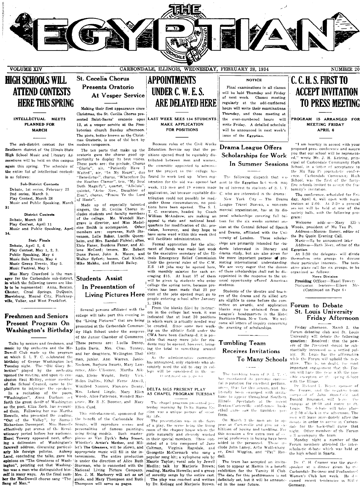

## **HIGH SCHOOLS WILL ATTEND CONTESTS HERE THIS SPRING**

INTELLECTUAL MEETS **PLANNED FOR MARCH** 

The sub-district contest for the modern composers. Southern district of the Illinois State High School Music and Literary Assocations will be held on this campus again this spring. The schedule of the entire list of intellectual contests is as follows:

Sub-District Contests Debate, 1st series, February 23 2nd series, March 9. Play Contest, March 28 Music and Public Speaking, March

District Contests Debate, March 23 Play Contest, April 11<br>Music and Public Speaking, April

Stat. Finals Debate, April 5, 6 Play Contest, May 1, 2, 3. Public Speaking, May 4 Music Solo Events, May 4 Music Group Events, May 5. Music Festival. May 5

Miss Mary Crawford is the manager for the Carbondale sub-district, in which the following towns are likely to be represented: Anna. Benton. Chester, Creal Springs, DuQuoin, Harrisburg, Mound City, Pinckneyville, Valier, and West Frankfort.

#### **Freshmen and Seniors** Present Program On Washington's Birthday

music by the orchestra and the Mc- Lydia Davis, Mrs. Chas. Tenney, ing the total to something around Dowell Club made up the program at which S. I. T. C. celebrated the birthday of George Washington last Tuesday night. The "Old Glory Seopened the meeting, and upon its conclusion Raul McRoy, senior member of the School Council, came to the platform to introduce the speakers. In a recitation of the poem, "Washington", Anna Durham  $\sim$ forth the great deeds of Washington grave, Mr. S .E. Boomer, and Mary as the poet, Eliza Zork, has recount- Ellen Curd, ed them. Following her was Martha Howells, who presented the reading. "Out of the Valley", by Samuel Richardson Davenport. Miss Howells effectively put scenes of the Revolutionary period before her audience. Hazel Towery appeared next, offering a delineaton of Washington's farewell address, discussing particularly his foreign policies. Aubrey Land, concluding the talks, gave his opinions on "The Greatness of Washington", pointing out that Washington was a man who distinguished himself in many ways. As the final number the MacDowell chorus sang "The Song of Man."

## **St. Cecelia Chorus** Presents Oratorio At Vesper Service

Making their first appearance since Christmas, the St. Cecilia Chorus presented Saint-Saens' oratorio opus 12, at a vesper service at the Presbyterian church Sunday afternoon. The piece, better known as the Christmas Oratorio, is one of the best by

The ten parts that make up the oratorio gave the chorus good opportunity to display its best voices. These parts are: the prelude, Chorus<br>"Gloria", air, "Patiently Have I Waited", air, "In My Heart", duo "Benedictus", chorus, "Wherefore Do<br>the Heathen Clamor", trio, "My Soul Doth Magnify", quartet, "Alleluia", quintet, "Arise Now, Daughter of Zion", chorus, "Praise Ye the Lord of Hosts"

Made up of especially talented singers, the St. Cecilia Chorus includes students and faculty members of the college. Mr. Wendell Margrave is director, and Miss Madel-Other eine Smith is accompanist. members are: sopranos, Ruth Stevenson, Lelle Baker, Lucille Quernheim, and Mrs. Randail Fichtel; altos, Elsie Faner, Berdena Faner, and Allene McCord; tenors, Mr. Robert Dunn Faner, John A. Moore, and Walter Syfert; basses, Carl Kiefer, Mike Makhu, and Harold Bailey

## Students Assist In Presentation of

Several persons affiliated with the college will take part this evening in of the Junior Chamber of Commerce. Talks by seniors and freshmen, and These persons are: Luella Denny, and her daughters, Wellington Thal- sixty. man, junior, Ann Warren, Janice played by the orchestra rence, Alice Ullsomer, Martha Aik- lege will be considered in the man, Eloise Wright, Betty Vick. Helen Dollins, Ethel Ferne Atwell, Winifred Nooner, Florence Denny, Mrs. Leland Lingle, Mary Ellen Woods, Alice Patterson, Wendell Mar-

> This entertainment, sponsored for the benefit of the Carbondale Boy using living models. Such masterpieces as Van Dyck's Baby Stuart, Whistler's Artist's Mother, and Millet's The Gleaners, will be shown, and Coltman, appropriate music will fill in the intermissions. The entire production is under the direction of Alice Ruth Sturman, who is connected with the National Living Picture Company, Mrs. J. M. Marberry will act as art guide, and Mary Thompson and Ruth Thompson will serve as pages.

## **APPOINTMENTS** UNDER C. W. E. S. ARE DELAYED HERE

LAST WEEK SEES 134 STUDENTS MAKE APPLICATION **FOR POSITIONS** 

Because rules of the Civil Works Education Service say that the positions opened must be equitably distributed between men and women. the committe appointed to administer the project in this college has found its work tied up. When registration for the aid was opened last week. 115 men and 19 women made application, but because equitable distribution could not possibly be mad. under those circumstances, no positions have been opened. The S. I. tions have been opened. C. executors, headed by Coach william McAndrew, are making an posal scholarships covering full tui-<br>appeal to state and national head- tion for the six weeks summer sesquarters for modification of this provision, however, and they hope to have some word within this week that will facilitate administration.

Formal application for the allotment of funds was made last week to the executive secretary of the Illinois Emergency Relief Commission Undr the general rules of the C.W. E.S. 149 jobs may be opened here, with monthly salaries for each averaging \$15. At least 37 of them will be given to students who enter college the spring term, because provision has been made that 25 per Living Pictures Here cent of the jobs opened must go to people entering school after January 1, 1934.

From the blanks filed by instructors in the college last week, it was indicated that at least 30 positions the "Living Pictures" that are being in which work is actually needed may presented at the Carbondale Commun- be created. Since some men workity High School under the auspices ing on the athletic field under the CWA have been discharged, it is possible that many more jobs for students may be opened, however, bring-

As the administrative committee Neckers, Barbara Swartz, Mary Law statement only students who ab-<br>Neckers, Barbara Swartz, Mary Law statement only students who absolutely need the aid to stay in col-

 $\bar{U}$  on<br>timed on  $p$  ge to

#### DELTA SIGS PRESENT PLAY AS CHAPEL PROGRAM TUESDAY

The chapel program presented yes terday morning by Delta Sigma Epsilon was a unique picture of socority life.

The presentation was in the form Scouts, will reproduce scenes and of a play, the scene being the living personalities of famous paintings, room of the chapter house where the girls naturally and cleverly worked in their special members. These consisted of a trio composed of Jane Virginia Ragsdale, and Georgette McCormack who sang a popular song hit: a xylophone solo by Maurie Taylor; vocal solo by Jewell Medlin; talk by Marjorie Brown; reading, Martha Howells; and a group of sorority songs by the entire cast. The play was coached and written

by Dr. Kellogg and Marjorie Brown.

#### **NOTICE**

Final examinations in all classes will be held Thursday and Friday of next week. Classes meeting regularly at the odd-numbered hours will write their examinations Thursday, and those meeting at the even-numbered hours will write Friday. A detailed schedule will be announced in next week's issue of the Egyptian.

## Drama League Offers Scholarships for Work In Summer Sessions

The following dispatch that was sent to the Egyptian last week may be of interest to students of S. L.T. C. who are interested in the drama: New York City - The Drama League Travel Bureau, a non-commercial organization, has at its disposal scholarships covering full tuision at the Central School of Speech and Drama, affiliated with the University of London. These scholarships are primarily intended for students interested in literary and drama study, but are also given for the more important purpose of promoting international understanding. We are very eager that the donors of these scholarships shall not be disappointed in the response to the un usual opportunity offered American

Students of the theatre and teachers of the drama and its allied arts are eligible to come before the committee on awards, and application blanks may be obtained from the League's headquarters in the Hotel Barbizon-Plaza, New York. We welcome all letters of inquiry concerning the granting of scholarships.

students.

#### **Tumbling Team** Receives Invitations To Many Schools

The tumbling team of S. J. T. C. has maintained its insevious successful reputation for excellent perform. **STORY** thus far this season, and has literally been swamped with invitations to appear throughout Southern. Illinois. Spectators at the recent Benton-Carterville conference basketball gume saw the tumblers perform.

On March 3 the men are to appear at Carterville and give an exhibition of boxing and tumbling. For this occasion a few extra men of +> pecial proficiency in boixng have been added to the personnel. These clude John Laney, Arlie Wolfenbarg er, Emil Wiggins, and "Pat" Randall.

The team has accepted an invitation to appear at Herrin in a benefit exhibition for the Varsity H Club. The date for this performance is not definitely set, but it will be announced in the near future.

## **C. C. H. S. FIRST TO ACCEPT INVITATION TO PRESS MEETING**

PROGRAM IS ARRANGED FOR MEETING FRIDAY APRIL 6

"I am heartily in accord with your proposed press conference and assure you that our school will be represented," wrote Mr. J. H. Ketring, principal of Carbondale Community High<br>School, in a letter of acceptance to the Mu Tau Pi journalistic confer-Carbondale Community High School, was the first of the fortyfive schools invited to accent the fraternity's invitation.

The conference, scheduled for Friday, April 6, will open with registration at  $2:00$ . At  $2:30$  a general ses ion will be held at one of the society halls, with the following program:

Welcome addr.ss-Mary  $E11a$ Woods, president of Mu Tau Pi. Address-Monroe Sisney, editor of

the Bu Quoin Evening Call. Music-To be announced later

Address-Ruth Merz, editor of the Egyptian

At 3:30 the delegates will divide themselves into groups to discuss<br>their particular interests. The tentative plans call for six groups, to be organized as follows:

News Division Presiding Officer-Hazel Towery

Discussion leaders-Eileen (Continued on Page 6)

#### Forum to Debate St. Louis University Friday Afternoon

Friday afternoon, March 2, the Forum debating club and St. Louis University will debate the following<br>question: Resolved: that the powers of the President should be sub stantially increased as a settled policy. St. Louis has the affirmative while the Forum will uphold the neg-This is, no doubt, the most ative. important engagement that the Forum will have this year with the nossible exception of the spring debate with the Illinae.

Dr. Richard L. Bever, sponsor of the Forum, and the negative team composed of John Stansf.ed and Donald Brummet, will leave campus at 10:30 and motor to St. The debate will take place Louis at 2:30 o'clock in the afternoon. The men will leave immediately after the debate in order to arrive in Carbondale for the basketball game that night. Other members of the Forum Il accompany the team

Monday night a number of the Forum members attended the interscholastic debate which was held at the high school in Sparta.

Dr. C. H. Cramer was the guestspeaker at a dinner given by the Carbondale Business and Professional Women's Club last week. He dscussed recent tendencies in Hitler Germany.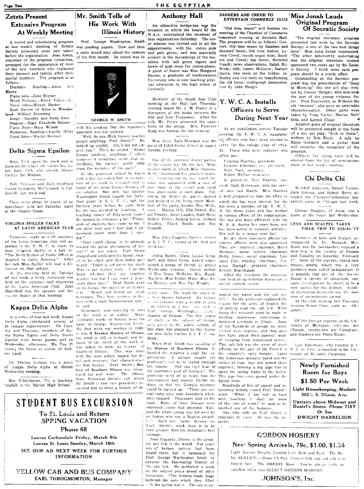Page Two

#### **Zetets Present Extensive Program** At Weekly Meeting

A varied and entertaining program at last week's meeting of Zetetic<br>Society presented some new talent before the organization. Jean Aston, chairman of the program committee, arranged for the appearance of most of the new members who explained their interest and talents after their special numbers. The program is as follows:

Dramatic Reading-Anna Lee Moore

Piano solo-June Snyder Word Pictures-Helen Fulencide: Vocal solo-Wayne Barker Book Review of Alice in Wonderland-William Browning

Songs-Dorothy and Doris Sites Staging-Mary Elizabeth Batson Piano Solo-Mary Wilson Humorous Reading-Lucille Hiller approach was not noticed. Vocal Solo-Wesley Bovinet.

#### Delta Sigma Epsilon

Betty Vick spent the week end in Jacksonville where she visited her sister, June Vick, who attends Illinois College for Women.

linsville last week-end.

There were about 50 guests at an at the chapter house.

#### VIRGINIA SPILLER TALKS AT LATIN AMERICAN CLUB

Tomorrow night at 6:30 members of the Latin American club will assemble in the Y. M. C. A. room to Virginia Spiller in a talk on hoor "The Merit System of Public Office as Applied to Latin America." After her talk Miss Spiller will lead a discussion on that subject.

At the meeting held on Tuesday of last week, a lively discussion was held on the purposes and objectives Latin American Club. John Stansfield was the speaker and discussion leader at that meeting.

#### Kappa Delta Alpha

At a series of teas last week, Kanna Delta Alpha entertained several of<br>th campus organizations. On Tuesday and Thursday, members of Sigma Sigma Sigma and Delta Sigma Epsilon were honor guests, and on<br>Wednesday afternoon, Mu Tau Pi visited the house as guests of Aubrey Land.

Dr. Thelma Kellogg was a guest of Kappa Delta Alpha at dinner Wednesday evening.

Mae Schlichtman, '31, is teaching English in the Marion High School.

## Mr. Smith Tells of His Work With

Prof. George Washington Smith was grading papers. Now and then a smile would play about the corners of his firm mouth. So intent was he

**Illinois History** 



**GEORGE W. SMITH** 

with his grading that the reporter's

"Well, do you think history teaches people anything, Prof. Smith?"  $He$ looked up quickly. Oh, I did not exhistory teaching anything--I often womler-it sometimes seems that individuals, like nations, profit little from the mistakes of the past."

As the professor talked he toyed with a key presented him in recogni-Polly Peterson and Ruth Swofford tion of his work in research and in visited Georgette McCormack in Col- honor of his great Illinois History of six volumes. Not only has George Washington Smith taught for fortyfour years in S. I. T. C., but for open-house held last Saturday night thirteen years before he came here his life was devoted to teaching. A teaching career of fifty-seven years! He seemed to reminisce a bit. "Thousands of students have come to me. I am older now and I feel that I understand youth more than I once

> toward the great phenomena of hishe was asked. Prof. Smith clasped and unclasped his hands, rock ed in his chair, and then slowly answered: "Youth is yet given too much War in our history texts. I do not whether they are reacting know against war but I can sense a peace<br>spirit these days." Prof. Smith went on to discuss the duties of an history text. "Beard and Beard are great historians. They have written an history with a truly humanitarian aim,' he said.

> Many of his work as an author. creditable works of history bear the name of George Washington Smith It was A Student History of Illinois, the work is still in demand, and because of the merit of this work he was asked to write an history of Southern Illinois. This was done with the same astute regard for detail and accuracy that characterized<br>his first history. Prof. Smith's History of Southern Illinois was recog-<br>nized far and wide. The Illinois nized far and wide. State Historical Society (of which Mr. Smith is now vice president) requested him to write a history of the

## THE EGYPTIAN **Anthony Hall**

An attractive bridge-tea was the

occasion at which the board of the W.A.A. entertained the members of that organization Saturday. The color scheme was carried out in all the appointments with the colors pink and pale green, and was especially<br>evident in the decorations of the teatables, with tall green tapers and bowls of pink roses for center-pieces. A guest of honor was Miss Margaret Baume, a graduate of Northwestern University who is now teaching physical education in the high school at Centralia.

Members of the South Side Club<sup>1</sup> Y. W. C. A. Installs evening heard Mr. J. M. Pierce in a discussion of the books between the Old and New Testament. After his talk, Mr. Pierce answered the questions of the group. Miss Florence King was hostess for the evening.

Miss Alice Ruth Sturman was the guest of Ethel Ferne Atwell at supper Sunday evening.

One of the prettiest dinner parties of the season was the one last. Wednesday night at which Miss Florence Wells entertained her practice teachors. Carrying out the rose motif, the table was appointed with a vase of rose buds in the center and small rose place-cards at each plate. Foland bridged in the living room. Members of the party, besides Miss Wells, were: Marian Dill, Ella Powell, Hazel Towery, Anne Louden, Ruth Merz, Robert Finley, Roland Keene, Gilbert Bradley, Floyd Smith, and Roy Crowell.

Miss Alice Coggins, former student "Does vouth change in its attitude at S. I. T. C., visited at the Hall last week-end.

> hoff, and Ethel Ferne Atwell entertained a group of friends at dinner Wednesday evening. Guests included Miss Grace Wilhelm, Miss Maude Mayhew, Miss Esther Winn, Miss Anna Murray, and Miss Fay Wright.

entire state. The work for which he is best known followed. An history of six volumes with a wealth of data id written in a free casy style is Reluctantly and modestly he told Prof. George Washington Cm.th's History of Illinois. The first course of study in the subject of history ever given in the public schools of His first work was written in 1906. this state was planned by this historian who daily teaches S. I. T. C. students

When Prof. Smith was speaking of his History of Southern Illinois he handed the reporter a copy for examination. A picture caught the professor's eye as he leafed through the volume. "Did you ever hear of the northwest part of Georgia? The professor went on to relate how the Government had moved 13,000 In- Saline river. dians so that the Georgia territory could be opened up. "There are several camp sites near Jonesboro where they stopped. Thousands died on the road. Many of those Indians were educated-some had attended Yale, and the whole group was led west by an Indian who was a Baptist preach-Frof. Smith's work show it to be even greater than the historian's first estimate

Near Equality, Illinois, is the greatest salt lick in the world. For years bits of broken pottery had been found there, but it remained for Prof. George Washington Smith to uncover the fascinating history of he salt lick. He published a work on the subject years ahead of other historians. "The Indians made huge bath-tub-like pots which they filled with the spring water. The sun evan-

#### SANDERS AND CREED TO ENTERTAIN COMMERCE CLUB

"Old time music" will feature the meeting of the Chamber of Commerce stomorrow evening at Socratic Hall The program will be as follows: Concert, Old time music by Sanders and Sanders' band: Old time fiddler. Lyman Creed; mouth organ duet, Sanders and Creed; tap dance, Herschel Veach; news observations, Ralph Mc-Bride: talk. James McGuire: feature movie, two reels on the rubber industry and two reels on transforming the old home; multigraph demonstration by John Haegle.

## Officers to Serve During Next Year arts, and Kermit Chase.

At an installation service Tuesday evening, the Y. W. C. A. inaugurat. of a one act play, "Sink or Swim", ed officers who have been elected to serve for the college year of 1934-35. Those who were inducted into office are:

Virginia Hueting, president. Eleanor Etherton, vice president. Ruth Nast, secretary.

Aileen McCue, treasurer.

As president, Miss Hueting succeeds Ruth Stevenson, who has served since last March. Miss Hueting Jack Granau, and Robert Berry atlowing the dinner the guests danced is well prepared to take the office to tended the Chicago-Carbondale baswhich she has been elected, for she has been a member of the Y. W. C. A. for three years and has worked in various offices of the organization. She has also been affiliated with the W. A. A. during her years here, and has been active in women's athletics She will be a senior next fall.

Besides these executive officers the cabinet officers were also appointed, companied by Dr. Steagall, Miss They are: publicity chairman, Helen-Mennen; social service chairman, Alelia Butler, Clara Louise Krug- Betty Jones; social chairman, Lorraine Cox; worship chairman, Virginia Stumpf; program chairman, Evelyn Braentigam.

After the ceremony the organization held an open forum discussion of recent current events.

orated the water and the salt waleft." So the professor explained the teason for the acres of broken bits of pottery near the salt lick. While doing this research work he made intresting discoveries concerning indentured servitude in Illinois. Some of the hundreds of people he interviewed were negroes, and they gave him facts about their parents' mode of escaping from indentured service. This salt lick was the scene of much activity on the part of the French in the country's early history. Later the Americans actually bored out the center of huge logs and joined them together, forming a log pipe line to carry the spring water to the boiler. This pipe line even passed under the

Hundreds of bits of quaint and interesting history crowd Prof. Smith's mind. "When I am not so busy with teaching 'I shall do more of this sort of work," he said as he touched one of his histories One who calls on Prof. Smith is

reluctant to leave. So was the r porter.

#### Miss Jonah Lauds Original Program Of Socratic Society

"The original literature program presented last week by the Socratic Society is one of the two best things done<sup>n</sup> Miss Julia Jonah commented "The other noteworthy undertaking was the original literature contest sponsored two years ago by the Zetetic Society. I think some such program should be a yearly affair.

Outstanding on the Socratic program was the presentation of "Song at Morning" the one act play writ ten by Grover Morgan, who also took the part of the young virtuoso, Pe-Fred Dearworth, as Wilhelm the ter. old "meister", also gave an admirable characterization. Other parts were<br>taken by Veda Taylor, Marian Rich-

Another niece of original literature will be presented tonight in the form written by Bob Boyle. A talk by Ralph Goddard and a guitar duet will comprise the remainder of the program.

Officers for spring term will be elected from the list of nominations made at last week's meeting.

#### Chi Delta Chi

Wendell Anderson, Robert Turner. ketball game at Chicago last week.

George Huggins, of Anna, was a guest at the house last Wednesday

#### LENS AND SCALPEL TAKES FIELD TRIP TO EQUAL'TY

Members of Lens and Scalpel, ac-Scott, and Dr. Gersbacher, enjoyed a field trip in the vicinity of Pounds and Equality on Saturday. February 17. Some of the students found rare mosses, among which was a very primitive moss called lackapodiam. It is possible that one of the mosses found, a species of sphagnum, can, upon investigation, be shown to be a new species for this district. Another interesting discovery was the skeleton of an unknown animal.

At the club meeting last Thursday evening Hiram Cross spoke on "Alligators.

Of 560 foreign students at the University of Michigan, sixty-one are Chinese, twenty-two are Canadians, and fourteen are Porto Ricans.

Lyle Robertson, who entered S. I. T. C. in 1931, is enrolled in the University of Missouri, Columbia.

**Newly Furnished** Room for Boys \$1.50 Per Week Light Housekeeping, Modern 302<sup>12</sup> S. Illinois Ave. Upstairs above Midwest and Daniel's Stores. Phone 715Y Or See

**DWIGHT HARRELSON** 

### **GORDON HOSIERY** Nev Spring Arrivals, 79c, \$1.00, \$1.55

Light Service Weight, Picoted Lisle Hem and Feet. The Ho for SERVICE.-Sheer Chiffon, Picoted Silk top and silk rein forced feet. The DRESSY Hose. You're always right an satisfied when you SELECT GORDON HOSIERY

#### JOHNSON'S, Inc.

Such side lights thrown on

STUDENT BUS EXCURSION

## To St. Louis and Return **SPRING VACATION**

#### Phone 68

Leaves Carbondale Friday, March 9th Leaves St. Louis Sunday, March 18th SEE OUR AD NEXT WEEK FOR FURTHER **INFORMATION** 

YELLOW CAB AND BUS COMPANY **EARL THROGMORTON, Manager** 

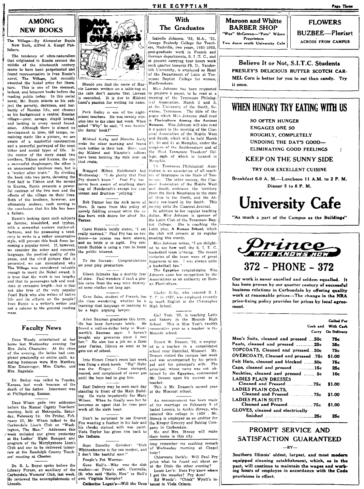## **AMONG NEW BOOKS**

Village-By Alexander Bunin TL. New York, Alfred A. Knopf Publishers.

The tendency of ultra-naturalism that originated in Russia around the middle of the nineteenth century seems to have been perpetuated and found representation in Ivan Bunin's novel, The Village, just recently awarded the Nobel prize for litera-This is one of the sternest. ture. larkest, and bitterest books before the reading public today. In this social novel, Mr. Bunin selects as his subject the poverty, darkness, and bar-<br>barity of Russian life, and chooses as his background a central Russian village-poor, savage, stupid brutal,<br>and lacking in every moral foundation, Although there is almost no development in time, the tempo, remaining static like a picture, we are aware of a masterful construction<br>and a powerful portrayal of the most bitter and sordid types of life. the center of the story stand two brothers. Tikhon and Kuzma, the one a successful shopkeeper; the other is an unsuccessful business man, but is<br>a "seeker after truth." By dividing the book into two parts, devoting the<br>first half to Tikhon and the second to Kuzma, Bunin presents a powerful contrast of the two men and the effects of the village on their lives. Both of the brothers, however, are ultimately undone, each coming to the conclusion that his life has been a failure

Bunin's looking upon such subjects as famine, bloodshed, and typhus, with a somewhat austere matter-offactness, and his possessing a tendency to write in a rather unnarrative , will prevent this book from best vl coming a popular novel. If, however, we consider the sober and concrete language, the poetical quality of the prose, and the vivid picture that is presented, we can understand why The Village was considered valuable enough to merit the Nobel award. It is true that the work is too lengthy and that its personages talk and meditate at excessive length-but is that not also true of the very popular Pearl Buck who also writes of native life and its effects on the people? Ivan Bunin is a writer's writer and not a caterer to the general reading mass.

#### **Faculty News**

Dean Woody entertained at her home last Wednesday evening for Mrs. Julia Chastaine. At the close of the evening, the ladies had completed practically an entire quilt. Assisting hostesses were Mrs. Matthes, Miss Entsminger, Miss Clarke, and Mrs. Ragsdale.

Dr. Bailey was called to Topeka,<br>Kansas, last week beacuse of the death of his father. Interment was at Phillipsburg, Kansas.

Dean Wham gave two addresses before the Massac County Teachers' meeting, held at Metropolis, Saturday, February 24. On Friday, February 23, Mr. Wham talked to the Carbondale Lion's Club on "Washington, The Man." Addresses this week included one given yesterday<br>at the Ladies' Night Banquet and program of the Murphysboro Lion's Club and one to be delivered tomorrow at the Randolph County Teachers' meeting at Chester.

Dr. R. L. Beyer spoke before the Library Forum, an auxiliary of the Carbondale Womens' Club, last week. He reviewed the accomplishments of Lincoln.



Should you find the name of Marvin Lawson written on a table-ton at the cafe don't assume that Lawson conceited. It is due to Mildred is. Land's passion for writing his name.

Peck Bailey is one of the nightschool teachers. He was twenty minutes late to his class last week. When asked "Why" he said, "I was huntin' the damn' book!"

Mildred Kirby and Blanche Kelly voke the other morning and found milk bottles in their bed. Since that day Mildred and Blanche's tellows have been hunting the milk man on that route.

Bragged Milton Hutcheraft last Wednesday: "I do plenty that Paul<br>Pry doesn't know." Paul Pry has never been aware of anything startling of Hutchcraft's except his consistent and fruitless "iellving."

Bob Turner has the nick name of Nero. It came from this policy of merely fiddling around while the ladies burn with desire for aloof Mr. Turner.

Carol Hubble boldly states, "I am<br>really married." Pàul Pry has no évidence-no license nas been shown, and no bride is in sight. Pry contends Hubble is using a ruse to boost the public interest.

To the Socrats: Congratulations on your play production.

of mice. Paul wonders if such a phobia came from the way mice destroyed some clothes not long ago.

the class wondering whether he is learning that language or learning to High School. be a logic arguing lawyer

Aden Bauman graduates this term. He has been fortunate lately. He<br>found a million-dollar baby in Wool- $He$ worth's. Bauman says: I haven't bought any groceries since I met her." He also has a job on a farm near Farina, Illinois as soon as he rets out of school.

Into Hiram Cross's room last week<br>vas flung a stink bomb. "Big" Hahn was the flinger. Cross stomped, roared, and complained of sewer gas until the boys had to gag him.

Earl Dabney may be seen each day standing in front of the Main Building. He waits impatiently for Mary Wilson. When he finally sees her he becomes so upset that he does poor work all the sixth hour.

Don't be surprised to see Everett Fox wearing a feather in his hair and his cheeks stained with war paint. Veda Taylor has given him back to the Indians.

Says Dorothy Greisher: "Dick Whittenbourne is far too modest, and don't like bashful men!"

People's Pet Worries: Gene Hall's---- Who was the dish

washer-at Price's cafe, Centralia, Ill. who said "Hello, Hon" to Hall's own Virginia Kempler?

Catherine Logan's--Will the Dean terest in Viola Crimm.

THE EGYPTIAN

## The Graduates

Isabelle Johnson, '29, M.A., '31, George Peabody College for Teachers, Nashville, two years, 1931-1933, post-graduate work in French and German departments, S. I.T. C., and at present carrying four hours work each quarter towards Ph. D., Vanderbilt University, is employed as Head of the Department of Latin at Tennessee Baptist College for women, Murfreesboro.

Miss Johnson has been requested to prepare a paper, to be read at a meeting of the Tennessee Philological Association, March 2 and 3. at the University of the South, Se-The title of the wanee, Tennessee. paper which Miss Johnson shall read is Floriculture Among the Ancient Romans. Miss Johnson will also read h r paper to the meeting of the Classical Association of the Middle West and South, which will be held March 29. 30 and 31 at Memphis, under the auspices of the Southwestern and of the West Tennessee Teachers' College, each of which is located in Memphis.

Th Tennessee Philological Association is an association of all teachers of languages in the State of Tenne see. The other society, the Classical Association of the Middle West and South embraces the territory from the Rock Mountains to the state of Ohio in the North, and the Atlantic sea-board in the South. This society edits the Classical Journal.

In addition to her regular teaching duties, Miss Johnson is sponsor of the Latin Club of the Tennessee Baptist College. She is coaching the<br>Latin play, A Roman School, which the club will present at its regular meeting this month.

Miss Johnson writes, "I am delighted to see how well the S. I. T. C. basketball team is'doing. The recent victories of the team were of great happiness to me. I was always quite<br>a basketball fan."

The Egyptian congratulates Miss Eileen Schnake has a deathly fear Johnson upon her recognition by the Associations as an authority on Roman Floriculture.

Gladys Kelly, who entered S. I. Gene Saba, student of French, has T. C. in 1927, was employed recently to teach English in the Christopher

> Gail Yost, '26, is teaching Latin and history in the Mounds High School. This is Miss Yost's twelfth consecutive year as a teacher in the Mounds school.

Ernest W. Deason, '32, is employed as a teacher in a consolidated school near Hannibal, Missouri. Mr. Deason visited the campus last week and was accompanied by his principal and his principal's wife. The principal, whose name was not obtained by the Egyptian, commended Mr. Deason upon his success as a teacher.

This is Mr. Deason's second year at the Missouri school.

An announcement has been made of the marriage on February 9 of<br>Isabel Loomis, to Archie Stroup, who entered this college in 1928. Mr Stroup is employed as an auditor for the Kroger Grocery and Baking Company in Carbondale.

Mr. and Mrs. Stroup will make their home in this city.

long remember my scathing remark<br>of Wednesday morning at Chapel hour?

Chlormara Deck's: Will Paul Pry print what he found out about me at the Dixie the other evening?

Louie Lee's: Does Pry know where got the measles? Pry does!<br>Ed Woods': "Chink" Wyatt's in- $\mathbf I$ 

**Maroon and Whitte BARBER SHOP** "Wax" McGowan-"Pete" Wilson Proprietors

Two doors south University Cafe

**FLOWERS** 

**BUZBEE-Florisrt** 

**ACROSS FROM CAMPUS** 

Believe It or Not, S.I.T.C. Students PRESLEY'S DELICIOUS BUTTER SCOTCH CAR-MEL Corn is better for you to eat than candy. Try it once

## WHEN HUNGRY TRY EATING WITH IIS

**SO OFTEN HUNGER ENGAGES ONE SO** ROUGHLY, COMPLETELY UNDOING THE DAY'S GOOD-ELIMINATING GOOD FEELINGS

#### KEEP ON THE SUNNY SIDE

#### TRY OUR EXCELLENT CUISINE

Breakfast 6-9 A. M.-Luncheon 11 A.M. to 2 P. M. Dinner 5 to 8 P. M.

# **University Cafe**

"As much a part of the Campus as the Buildings"



Our work is never excelled and seldom equalled. It has been proven by our quarter century of successful business relations in Carbondale by offering quality work at reasonable prices-The change in the NRA price-fixing policy provides for prices by local agreement.

|                                       |     | <b>Called For</b><br>Cash and With Cash<br>Carry On Delivery |
|---------------------------------------|-----|--------------------------------------------------------------|
| Men's Suits, cleaned and pressed  50c |     | 75c                                                          |
| Pants, cleaned and pressed  25c       |     | 35c                                                          |
| TOPCOATS, Cleaned and pressed50c      |     | 75c                                                          |
| OVERCOATS, Cleaned and pressed 75c    |     | \$1.00                                                       |
| Felt Hats, cleaned and blocked 50c    |     | 7Бс                                                          |
| Caps, cleaned and pressed 15c         |     | 25c                                                          |
| Neckties, cleaned and pressed  5c     |     | 10c                                                          |
| LADIES PLAIN DRESSES                  |     |                                                              |
|                                       |     | \$1.00                                                       |
| LADIES PLAIN COATS.                   |     | \$1.00                                                       |
| LADIES PLAIN SUITS                    |     |                                                              |
| Cleaned and Pressed75c                |     | \$1.00                                                       |
| GLOVES, cleaned and electrically      |     |                                                              |
|                                       | 25c |                                                              |

#### PROMPT SERVICE AND SATISFACTION GUARANTEED  $RV$

Southern Illinois' oldest, largest, and most modern equipped cleaning establishment, which, as in the past, will continue to maintain the wages and working hours of employes in accordance with the Code provisions in effect.

 $\mathcal{E}$ 

## With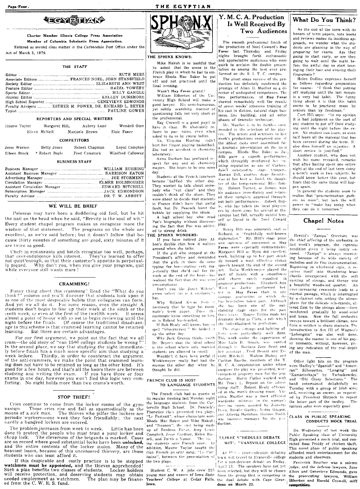## **TECATEMENT**

Charter Member Illinois College Press Association Member of Columbia Scholastic Press Agsociation.

Entered as second class matter in the Carbondale Post Office under the Act of March 3, 1879.

#### THE STAFF

| Faculty Advisers  ESTHER M. POWER, DR. RICHARD L. BEYER |
|---------------------------------------------------------|
|                                                         |

#### REPORTERS AND SPECIAL WRITERS

| Maurie Taylor | Margaret Hill, |                | Aubrey Land | Wendell Otey |
|---------------|----------------|----------------|-------------|--------------|
|               | Eileen McNeill | Marjorie Brown |             | Elsie Faner  |

#### **COMPETITORS**

| Jesse Warren | Betty Jones    | Robert Chapman | Loyal Compton     |
|--------------|----------------|----------------|-------------------|
| Eileen Brock | r Robert Boyle | Fred Comstock  | Winifred Calloway |

#### **BUSINESS STAFF**

#### WE WILL BE BRIEF

Polonius may have been a doddering old fool, but he hit the nail on the head when he said, "Brevity is the soul of wit." Every student chapel program makes us recognize more the wisdom of that statement. The programs on the whole are excellent, as we've said before; but it doesn't follow that because thirty minutes of something are good, sixty minutes of it are twice as good.

('hefs in restaurants and hotels recognize too well, perhaps,<br>at over-indulgence kills interest. They've learned to offer that over-indulgence kills interest. not quiet enough, so that their customer's appetite is perpetually piqued. Why don't you, when you give your program, quit while everyone still wants more?

#### **CRAMMING!**

Funny thing about this cramming! Read the "What do you<br>ink?" column and you'll discover that students look upon it think?" as one of the most despicable habits that collegiates can form. And yet we all do it. For some reason, even the straight A students don't begin to line up their work at the ninth or the tenth week, or even at the first of the twelfth week. It seems almost a point of honor with us not to begin reviewing until the night before the finals. Of course the traditional disadvant-<br>age to this scheme is that crammed learning cannot be retained learning. But there are certain advantages.

For our first argument, we point out the fact that we all cram-the old story of "can 1500 college students be wrong" In the second place, we say that studying the night immediately before finals has a much more specific aim than studying a week before. Thirdly, in order to counteract the argument of the anti-crammers, we make the point that crammed learning does not have to be retained as long as the other kind. It's good for a few hours, and that's all the hours there are between<br>studying and writing the exam. If you have three or four<br>exams in one day, however you won't find this logic very comforting. No night holds more than two crams's-worth.

#### **STOP THIEF!**

Cries continue to come from the locker rooms of the gymnasium. These cries rise and fall as spasmodically as the moans of a sick man. The thieves who pilfer the lockers are periodic workers—one week they fork friendishly; the next hardly a hundred lockers are entered.

The problem increases from week to week. Little has been done to protect the people who must trust a puny locker and cheap lock. The cleverness of the brigands is marked. Cases are on record where good substantial locks have been unlocked, and the entire contents of the locker stolen. Many of the heaviest losers, because of this uncensored thievery, are those students who can least afford it.

If this despicable and costly practice is to be stopped<br>watchmen must be appointed, and the thieves apprehended!<br>Such a plan benefits two classes of students. Locker holders Such a plan benefits two classes of students. Locker holders Student C. W. A. jobs drew 225 been selected, but they will be chosen will receive protection, and deserving students may obtain young men and women of lows Stat needed employment as watchmen. The plan may be financed from the C. W. E. S. fund.



THE EGYPTIAN

#### THE SPHINX KNOWS:

Mike Makuh is so hashful that he asked that the scene in the French play in which he had to embrace Rhoda Mae Baker be put off and not practiced until the final evening.

Wasn't Hay Fever grand?

William Etherton of the University High School will make a good lawyer. His semi-humorous, yet subtly searching manner of questioning falls not very short of the professional.

Ray Crowell is a good pupil to have in class. He absolutely refuses to pas- notes, even when asked to do so by young ladies.<br>No, Virginia Hueting didn't

hurt her finger playing basketball. She had an accident in chemistry laboratory.

Anna Durham has profound respect for any and all chemistry majors. She hopes to be one some day.

Students at the French luncheon became baffled the other day. They wanted to talk about somebody who "cut class" and they<br>couldn't think of the idiom. They were about to decide that students in France didn't have that awful fault but Dr. Peacock burst the bubble by supplying the idiom.

A high school boy who read Poe's biography without discovering the fact that Poe was addict- play. ed to strong drink.

#### THE SPHINX WONDERS:

hon's double chin how it waltzes around when she talks.

If the girl who stopped at the President's office and demanded that the girls in there do some typing for her-stating very majestically that she'd call for the realized the fact that she was very presumptuous.

Don't you like Janet Wilson's

Why Roland Keene feels to necessary that he type his room-Does mate's term paper.  $h$ roommate know something on him, or is Roland hiv-hearted.

If Bob Healy still knows how to spell "idiosyncrasy." He looked it up the other day.<br>Why Jack Granau thinks (with

Dr. Beyer) that the ideal school is the school where only married students are allowed to enroll.

Wouldn't it have been awful if Winklemeyer really had had the mumps the other day when  $h<sub>2</sub>$ thought he did.

#### FRENCH CLUB IS HOST TO LANGUAGE STUDENTS

The French club had as guests at its regular meeting last Monday night the language students from the Carterville High School. Dr. Peacock's Phonetics class presented two plays,<br>"Le Portrait", whose characters were Rhoda Mae Baker and Mike Makuh; and "Nounon", the cast being made up of Berdena Farer, Amy Lewis Campbell, Josse Gurdner, Helen Rus-The vis sell, and Dorth a Kunze. students sang French song-.  $1<sub>m</sub>$ ing addition, Maurie Taylor taught the club French popular song, "Le Caritaine", between the presentation of the two plays.

Teachers' College at Cedar Falls, the dual debate with Cape Girar Etherton and Harold Crowell, stiff lowa.

#### Y. M. C. A. Production Is Well Received By Two Audiences

The smooth professional finish of the production of Noel Coward's Hay Fever last Thursday and Friday<br>nights brought forth enthusiastic and appreciative audiences who were quick to acclaim the double presentation as among the best ever proformed on the S. I. T. C. campus.

The great stage success of the production has definitely confirmed the prestige of Allan D. Mueller as a director of undisputed competence. The two performances of Hay Fever<br>showed remarkably well the results of seven weeks' intensive training of his cast in diction, natural stage business, line building, and all other<br>phases of dramatic technique.

Mr. Mueller is to be further commended in the selection of his play-The actors and actresses in last week's productions comprised one of the ablest casts over assembled for a deamatic presentation on the local campus. Rhoda Mae Bake, as Judith gave a superb performance which throughly reinforced her existing reputation as one of Carbon-<br>dale's outstanding stage trooperoutstanding stage trooper-. Marian Dill, another stage favorite. was at her best as Sorel, the daughter of the temperamental Bliss family. Robert Turner, as Simon, won his audience immediately and retained their complete approval throughout both nerformances. Robert Boyle, who has taken the local play-goers by storm since his arrival at this campus last fall, actually outdid himself as David in the Noel Coward

Henry Hitt was admirably east as SPHINX WONDERS. Richard, a "frightfully well-known"<br>If you have noticed Jane Al-diplomatist." Mr. Hit's stage poise and sureness of movement in Hay Fever were especially commendable. Margaret Hill as Myra did excellent work, building up to her part steadily toward a most effective climax speech toward the end of the second act. Rolla Winklemeyer played the work at the end of the hour-has part of Sandy with a smoothness charm rarely equalled .<br>and.  $\mathbf{in}$ amateur productions. Elizabeth Ann West as Jackie performed betgreen velvet (or is it cordura)?) ter in Hay Fever than in any campus production in which  $\mathcal{A}_{\mathbf{h}}$ has heretofore taken part. Although<br>she has been one of the outstanding stage stars for the past three years. Maurie Taylor made her dramatic debut as Clara, a role which she individualized to perfection.

> The stage settings and lighting effacts were particularly well done. This work under the supervision of Miss Lulu D. Roach, was carried through by Barbara Jane Scott and<br>her assistant, Fred Besant and Everett Mitchell. Walton Blakey and Carlton Rasche, members of the Y. M. C. A. organization under whose auspices the play was presented, were competent property men for the production. Harry Cutler worked with Mr. Tracy L. Bryant on the advertising staff. Robert Healy officiated in the men's dressing room. Virginia Mueller was a most efficient wardrobe mistress in the woman's dressing room, assisted by Jeanette Doon, Rosalie Gurley, Nedra Gozgin, and Alberta Hamilton. Gornon Dodds was business manager for the p.o. duction.

#### LLINAE STHEDULES DEBATE WIT': "VANSVILLE COLLEGE

Ar Inter-collegiate debating team will travel to Evansville college students and observers. for a non-decision debate on Friday,

April 13. The speakers have not yet deau on March 23.

#### What Do You Think?

As the end of the term with its honors of term papers, note books and reviews makes its insidious anproach, we wonder what the stildents are planning in the way of preparing for exams. Are they going to start early, or are they<br>going to wait until the night before the awful day to start tearinging their hair and abusing their fingernails?

Helen Dollins expresses herself s follows regarding preparation for exams: "I think that putting off studying until the last minute<br>is a very bad habit. The funny thing about it is that this habit seems to be practiced more by seniors than by freshman."

Curt Hill says: "In my opinion it is bad judgment on the part of any student to put off their studying until the night before the ex-<br>am. No student can learn, or even half learn all the material that has been covered during the term.  $H_{\mathbb{C}}$ also does himself an injustice. A short review is justified."

Another student, who does not wish his name revealed, remarks that after having spent one entire night at the end of last term doing a term's work in two subjects, he should know better this year, but fears that the same thing will happen again.

In general the students seem to realize that "procrastination gathers no moss", but lack the will<br>power to "make hay today when .<br>they can do it tomorrow.'

#### Chapel Notes

Herold's "Zampa" Overture was the chief offering of the orchestra in last week's program, the vigorous rendition given it being lustily en-<br>cored. "Zampa" is always interesting because of its wide variety of melodies and its fine instrumentation. Beginning in whirlwind style, it resolves itself into thundering brass chords interspersed with the soft rustling of strings, and thence into a beautiful woodwind quartet.  $A<sub>n</sub>$ ever-increasing crescendo leads to a martial passage, which is interrupted by a clarinet solo, setting the atmosphere for the delicate scherzando, uttered first by the strings alone-then relatively the strings store with<br>reinforced gradually by wood-wind<br>and brass. Now the full orchestra Now the full orchestra sweeps toward a brilliant climax, now finis is written in sharp staccato. The Introduction to Act III of Wagner's "Lohengrin" was also well done, showing the master in one of his gayer moments, without, however, giving any indication of the real depth of the man.

Other light bits on the program were Hadley's "Spanish" and "American" Silhouettes, "Longing" and "Kamarinskaja" by Tschaikowsky, and "Old Glory Selections." The<br>band entertained delightfully on Tuesday with a group of Irish airs; and, receiving an encore, as requested by President Shryock to repeat the latter part of the medley. The various solos were especially good.

#### CLASS IN PUBLIC SPEAKING CONDUCTS MOCK TRIAL

On Wednesday of last week the Public Speaking class of University High presented a mock trial and convicted Ross Priddy of chicken theft. This novel phase of public speaking afforded much entertainment for the

Frederick Boucher was a solemn judge, and the defense lawyers, Jane Albon and Genevieve Edmonds, gave prosecuting lawyers, William competition.

# ers.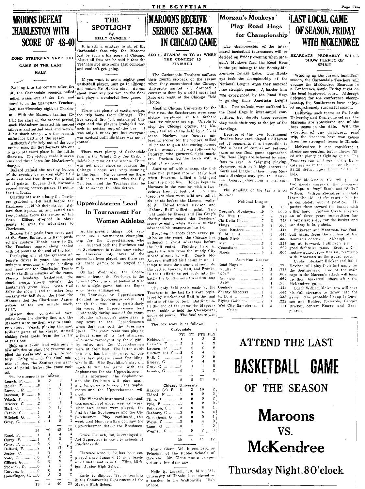## **AROONS DEFEAT HARLESTON WITH SCORE OF 48-40**

COND STRINGERS SAVE THE

GAME IN THE LAST

**HALF** 

مستويات Rushing into the contest after the assessment prayer, june se ... pured it on the Charleston Teachers 2.40 last Thursday night at Charles-With the Maroons trailing 25d his shock troops win the seventh<br>onference battle of the season.

Although definitely out of the conerence race, the Southerners are out o grab off third place in the Little Kineteen. The victory made it seven vins and three loses for McAndrew's :harges.

Ballard gained the scoring honors of the evening by sinking eight field<br>goals and one free throw, for a total of 17 points. Eugene Hall, Maroon's second string center, gained 13 points able to avenge for this defeat. for the locals

Starting off with a bang the Teachers grabbed a 4-0 lead before the Lantzmen could hit their stride. Ballard then opened up and netted two two-pointers from the center of the Gilbert dropped in three floor. points to give the advantage to Charleston,

Sinking field goals from every part of the floor, Ballard and Rand pushed the Eastern Illinois' score to 25. The Teachers tugged along behind with 14 points at the end of the half.

stringers overcame a large handicap still three games to be played this and nosed out the Charleston Teach- wek ers in the final mingtles of the game. Playing heads-up basketball, the shock troops slowly whittled the tune of 32-28, in what looked at first Lantzmen's great lead. With Hall to be a tight game, but the Sophs doing the scoring and the other four<br>working the ball down the floor, the Margons tied the Charleston Aggre- d-feated the Sophomores 22-18. Al gation at the ten minute mark, though this was not a particularly  $37 - 37$ 

Lawson then contributed tv points from the charity line, and the Maroons were on their way to anoth- long score to the Upperclassmen er victory. Veach, playing the most when they swamped the Freshmen brilliant game of his career, started 50-11. The green team was playing sinking field goals from the center of the floor.

Holding a 42-38 lead with only a lew minutes to play, the reserves applied the steam and went on to victory. Going wild in the final minates of play, the Southerners garnered 48 points before the game end-

 $\theta$ 

6  $\mathbf{r}$ 

 $13$ 2

5  $\theta$ 

 $\overline{5}$ 

 $\overline{4}$ 

 $\overline{2}$ 

 $\theta$ 

 $\theta$  $\sqrt{2}$ 

 $\overline{3}$ 

 $40$ 

 $\overline{2}$ 

 $\mathbf{R}$ 

 $\overline{2}$ 6

 $\overline{2}$ 3

 $16$ 48

 $\overline{2}$ 

 $\overline{A}$ 

 $\bullet$  $17$ 

| м.                              |                  |
|---------------------------------|------------------|
| The box score is as follow      |                  |
| Lenich, F. 0                    | Ō                |
| Holder, F. 0                    | $\mathbf{1}$     |
| Lawson, F. 1                    | 7                |
| Davison, $F$ 0                  | 1                |
| Véach, F. 3                     | 0                |
| Bricker, C. 2                   | $\mathbf{r}$     |
| Hall, C. 4                      | -5               |
| Franks, G. 1                    | $\overline{1}$   |
| Mitchell, G. 2                  | 1                |
| Gray, G. 2                      | 1                |
|                                 |                  |
| 14                              | 20               |
| Rand, F. 1                      | $\overline{2}$   |
| Curry, F. $\dots \dots \dots 1$ | 0                |
| Gray, $F$ . 0                   | 0                |
| Ballard, F. 8                   | 1                |
| <b>Jester, C.</b> 1             | $\boldsymbol{2}$ |
| Volc, C. 0                      | $\theta$         |
| Gilbert, G. 2                   | 5                |
| Tedwick, G. 0                   | ı                |
| Burgess, G. 0                   | 0                |
| Honefinger, G. 0                | 3                |
|                                 |                  |
| 13                              | 14               |
|                                 |                  |



It is still a mystery to all of the Carbondale fans why the Maroons lost by such a big score at Chicago. About all that can be said is that the Teachers got into some fast company and couldn't get going.

If you want to see a mighty good basketball player, just go to Chicago He can df. the Garbondale seconds. pulled shoot from any position on the floor wher game out of the fire and and plays a wonderful floor game.

There was plenty of excitement on<br>the trip home from Chicago. The the trip home from Chicago. 4 at the start of the second period, bus caught fire just outside of Chiand McAndrew inserted his second eago and the players broke all rec-<br>tringers and settled back and watch- ords in getting out of the bus. It<br>d his shock troops win the seventh was only a minor (fire but everyone was excited until the blaze was under control.

> There were plenty of Carbondale fans in the Windy City for Carbondale's big game of the season. There was not much cheering because the Chicago success was very stunning to the team. Maybe sometime there will be a return game with the Big Ten team and the Teachers may be

## Upperclassmen Lead In Tournament For **Women Athletes**

At the present things look very much like a tournament championship for the Upperclassmen, who deleated both the Freshmen and he Sophomores in rather easy victorthe tensive of the greatest of- ies. However, only three of the fensive drives in years, the second games hae byen played, and there are

> On last Wednesday the Sophomores defeated the Freshmen to the wave never endangered.

> On Thursday, the Upperclassmen big roore, the Upperclassmen lead comfortably during most of the game. Monday afternoon's game gave a without some of its first stringers. who were forced cout by the eligibility rules, and the Upperclassmen were at their best. The latter outfit however, has been deprived of one of its best players, Janet Spaulding, who is ill. Miss Spaulding's play did much to win the game with the

> Sophomores for the Upperclassmen. This afternoon, the Sophomores and the Freshmen will play again and tomorrow afternoon, the Sophomores and the Upperclassmen will meet.

The Women's intramural basketball tournament got under way last week, when two games were played, the first by the Sophomores and the Upperclassmen. Play continued this ...<br>week ,and Monday afternoon saw the Upperclassmen defeat the Freshmen.

Grace Claunch, '33, is employed as Art Supervisor in the city schools of Pinckneyville.

er of mathematics in the Flint, Mich- visitor a few days ago igan Junior High School.

2 in the Commercial Department of the 23 Marion High School.

## **MAROONS RECEIVE SERIOUS SET-BACK IN CHICAGO GAME**

THE EGYPTIAN

SCORE STANDS 44 TO 21 WHEN THE CONTEST IS **FINISHED** 

The Carbondale Teachers suffered their fourth set-back of the season when they encountered the Chicago University quintet and dropped a contest to them by a 44-21 score last Saturday night at the Chicago Field House.

Meeting Chicago University for the first time, the Southerners were completely perplexed at the defense that the winners set up. Unable to stop the Chicago offense, the Maroons trailed at the half by a 26-14 score. Harlow, star forward, and leading scorer for the victors, tallied 19 points to gain the scoring honors for the evening. He was followed by Peterson who garnered eight mark-Davison led the locals with a ers. total of six points.

Starting off with a bang, the Chicago five jumped into an early lead when Peterson tallied a field goal from the pivot line. Holder kept the Marcons in the running with a twopointer from 30 feet out. The Chicago lads then went wild and tallied six points before the Macmen realized it. Eldred fouled Davison and "Johnny Bull" tallied a point. Two field goals by Emery and Jim Gray's charity throw raised the Teachers' score to eight, while Harlow further

advanced his teammates' to 14. Dropping in shots from every position on the court, the Chicago five<br>gathered a 26-14 advantage before the half ended. Fighting hard in spurts the lads from the Windy City scored almost at will. Coach Mc-Andrew shuffled his line-up in an-attempt to save the game and sent into the battle, Lawson, Hall, and Franks. In their efforts to get back into the battle the Southerners turned to long shots.

The only field goals made by the Teachers in the last half were registered by Bricker and Hall in the final minutes of the contest. Battling until the end of the game the Maroons were unable to hold the Chicagoians under 44 points. The final score was  $44 - 21$ .

The box score is as follows:

LS

ą

 $\theta$  $\mathbf 0$ 

 $\theta$ 

 $12$ 

| Carbondale                |    |          |                |    |
|---------------------------|----|----------|----------------|----|
|                           | FG | FT       | PTS            | F  |
| $H$ older, $F$ 1          |    | 1        | 3              |    |
| Davison, $F$ , $\ldots$ 2 |    | 2        | 6              |    |
| Lawson, $F$ 0             |    | 0        | $\Omega$       |    |
| Bricker (c) C 2           |    | 0        | 4              |    |
| Hall, C 1                 |    | 0        | $\overline{2}$ |    |
| Emery, G 2                |    | $\Omega$ | 4              |    |
| Gray, $G$ 0               |    | 1        | 1              |    |
| Franks, G 0               |    | 1        | ı              |    |
|                           |    |          |                |    |
|                           | 8  | 5        | 21             |    |
| Chicago University        |    |          |                |    |
| Harlow $(c)$ F $8$        |    | 3        | 19             |    |
| Eldred, $F$ 1             |    | 0        | $\overline{2}$ |    |
| Flinn, F 0                |    | 0        | $\bf{0}$       |    |
| Pvle, $F$ 1               |    | 0        | 2              |    |
|                           |    | n        | 8              |    |
| Seaborg, $C$ 3            |    | 0        | 6              |    |
| Oppenheim, G 0            |    | 0        | 0              |    |
| Weiss, $G$ 2              |    | 0        | 4              |    |
|                           |    | 1        | $\mathbf{1}$   |    |
| Wegner, $G$ 1             |    | 0        | $\overline{2}$ |    |
|                           |    |          |                |    |
|                           | 20 | 4        | :4             |    |
|                           |    | $\sim$   |                | л. |

Frank Glenn, '32, is employed as Clarence Arnold, '32, has been em-<br>principal of the Public Schools of<br>ployed since January 15 as a teach- Oakdale. Mr. Glenn was a campus

Nelle E. Ingram, '30, M.A., '31. Earle F. Shipley, '33, is teaching University of Illinois, is employed a teacher in the Waltonville High School.

## **Morgan's Monkeys** Play Road Hogs for Championship

The championship of the intramural basketball tournament will be decided on Friday evening when Morgan's Monkeys face the Road Hogs in the preliminary to the Varsity-Mc-Kendree College game. The Monkeys took the championship of the National League when they annexed nine straight games. A harder time was experienced by the Road Hogs in gaining their American League title. Two defeats were suffered by the Road Hogs in intra-mural competition, but despite these reverses they made their way to the top of the Marcons are considered one of the  $^{\prime}$  standings.

Because of the two tournament finalists have each played a different set of opponents it is impossible to find a basis of comparison between<sup>1</sup> them as the final game approaches. The Road Hogs are believed by many fans to excel in defensive playing. However, with such high scorers as North and Lingle in their lineup Morgan's Monkeys may give the American League champions a neal surprise.

The standing of the teams is as follows:

#### National League

| W.                  | L.           | Pct   |
|---------------------|--------------|-------|
| Morgan's Monkeys  9 | $\bf{0}$     | 1.000 |
| Eta Bita Pi 7       | 2            | .778  |
| Chi Delta Chi 7     | 2            | .778  |
| Thugs $6$           | 3            | .667  |
| Keen Kutters   4    | 5            | .444  |
|                     | 5            | .444  |
| Black Birds 3       | 6            | .333  |
|                     | 6            | .333  |
| Comedians  2        | 7            | .222  |
| Bisons $\ldots$     | 9            | .000  |
| American League     |              |       |
|                     | - 2          | .778  |
|                     |              | .778  |
| "904"               | $\mathbf{a}$ | .667  |

|                                                                                    | я |
|------------------------------------------------------------------------------------|---|
| $``810^{\prime\prime}$ $\qquad \ldots \ldots \ldots \ldots \ldots \ldots \ldots 5$ | 4 |
|                                                                                    | 5 |
| Shanty Shooters  4                                                                 | 5 |
|                                                                                    | 6 |
| Flying Gobblers 2                                                                  | 7 |
| Wet City Ramblers 1                                                                | я |
| *Tied                                                                              |   |
|                                                                                    |   |

## LAST LOCAL GAME OF SEASON, FRIDAY **WITH MCKENDREE**

BEARCATS PROBABLY WILL SPIRIT

Winding up the current basketball season, the Carbondale Teachers will<br>engage the McKendree Bearcats in Conference hattle Friday night on the local hardwood court. Although defeated for the conference championship, the Southerners have enjoyed an extremely successful season.

Defeating such teams as St. Louis University and Evansville college, the best teams in the state. With the exception of one disasterous road trip, the Teachers have won games from the strongest teams in Illinois. McKendree is not considered a

strong aggregation, but is always filled with plenty of fighting spirit. The Teachers ran wild again t the Beurcats earlier in the sea p, and hu,  $\sigma$  a<br>54-30 defeat upon Cp  $e^{i\pi/m}$ . lads.

The McKendree five will present two speedy scorers in the personary<br>of Captain "Izzy" Strab, and "Spike" Wilson. Wilson specializes in shots I from the side of the court while he is completely out of position.  $H$ . Pct pushes them toward the basket with 000 either hand. Captain Strab, a veter-778 an of three years competition has a remarkable eye for the basket and can drop in long shots.

Fulkerson and Moorman, two foot-444 ball stars, from the nucleus of the Bearcat's defense. Although ing at forward, Fulkerson pi Scott a 4 good defensive game. 000 inutive guard from Marissa, teams up with Moorman at the guard posts.

Captain Herbert Bricker and Raleh 778 Davison will play their last game for 778 the Southerners. Two of the main 667 cogs in the Maroon's attack will hang .667 up their basketball shoes after the  $.556$ McKendree game.

Coach William McAndrew will have 444 .444 his full strength to throw into the .333 game. The probable lineup is Davison and Holder, forwards, Captain  $222$ .111 Bricker, center; Emery and Gray, guards.